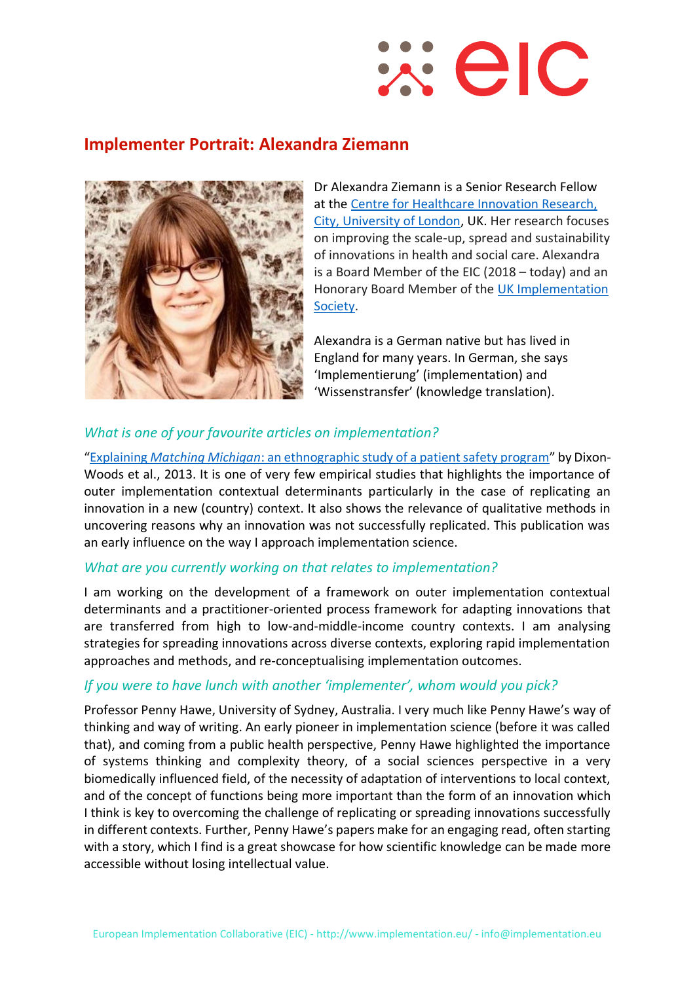# $\mathbb{R}$  eld

## **Implementer Portrait: Alexandra Ziemann**



Dr Alexandra Ziemann is a Senior Research Fellow at the [Centre for Healthcare Innovation Research,](https://www.city.ac.uk/research/centres/healthcare-innovation)  [City, University of London,](https://www.city.ac.uk/research/centres/healthcare-innovation) UK. Her research focuses on improving the scale-up, spread and sustainability of innovations in health and social care. Alexandra is a Board Member of the EIC (2018 – today) and an Honorary Board Member of the [UK Implementation](https://www.ukimplementation.org.uk/)  [Society.](https://www.ukimplementation.org.uk/)

Alexandra is a German native but has lived in England for many years. In German, she says 'Implementierung' (implementation) and 'Wissenstransfer' (knowledge translation).

### *What is one of your favourite articles on implementation?*

"Explaining *Matching Michigan*[: an ethnographic study of a patient safety program](https://implementationscience.biomedcentral.com/articles/10.1186/1748-5908-8-70)" by Dixon-Woods et al., 2013. It is one of very few empirical studies that highlights the importance of outer implementation contextual determinants particularly in the case of replicating an innovation in a new (country) context. It also shows the relevance of qualitative methods in uncovering reasons why an innovation was not successfully replicated. This publication was an early influence on the way I approach implementation science.

#### *What are you currently working on that relates to implementation?*

I am working on the development of a framework on outer implementation contextual determinants and a practitioner-oriented process framework for adapting innovations that are transferred from high to low-and-middle-income country contexts. I am analysing strategies for spreading innovations across diverse contexts, exploring rapid implementation approaches and methods, and re-conceptualising implementation outcomes.

#### *If you were to have lunch with another 'implementer', whom would you pick?*

Professor Penny Hawe, University of Sydney, Australia. I very much like Penny Hawe's way of thinking and way of writing. An early pioneer in implementation science (before it was called that), and coming from a public health perspective, Penny Hawe highlighted the importance of systems thinking and complexity theory, of a social sciences perspective in a very biomedically influenced field, of the necessity of adaptation of interventions to local context, and of the concept of functions being more important than the form of an innovation which I think is key to overcoming the challenge of replicating or spreading innovations successfully in different contexts. Further, Penny Hawe's papers make for an engaging read, often starting with a story, which I find is a great showcase for how scientific knowledge can be made more accessible without losing intellectual value.